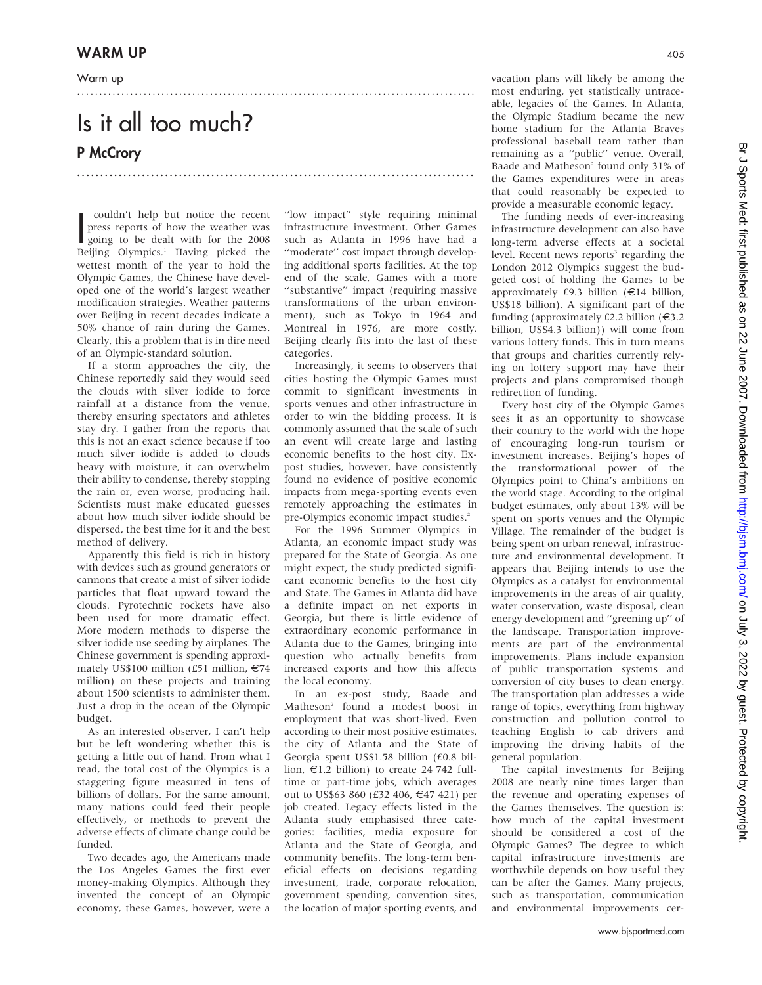Warm up

## Is it all too much? P McCrory

couldn't help but notice the recent<br>press reports of how the weather was<br>going to be dealt with for the 2008<br>Peijing Olympics <sup>1</sup> Having picked the couldn't help but notice the recent press reports of how the weather was Beijing Olympics.<sup>1</sup> Having picked the wettest month of the year to hold the Olympic Games, the Chinese have developed one of the world's largest weather modification strategies. Weather patterns over Beijing in recent decades indicate a 50% chance of rain during the Games. Clearly, this a problem that is in dire need of an Olympic-standard solution.

If a storm approaches the city, the Chinese reportedly said they would seed the clouds with silver iodide to force rainfall at a distance from the venue, thereby ensuring spectators and athletes stay dry. I gather from the reports that this is not an exact science because if too much silver iodide is added to clouds heavy with moisture, it can overwhelm their ability to condense, thereby stopping the rain or, even worse, producing hail. Scientists must make educated guesses about how much silver iodide should be dispersed, the best time for it and the best method of delivery.

Apparently this field is rich in history with devices such as ground generators or cannons that create a mist of silver iodide particles that float upward toward the clouds. Pyrotechnic rockets have also been used for more dramatic effect. More modern methods to disperse the silver iodide use seeding by airplanes. The Chinese government is spending approximately US\$100 million (£51 million,  $\epsilon$ 74 million) on these projects and training about 1500 scientists to administer them. Just a drop in the ocean of the Olympic budget.

As an interested observer, I can't help but be left wondering whether this is getting a little out of hand. From what I read, the total cost of the Olympics is a staggering figure measured in tens of billions of dollars. For the same amount, many nations could feed their people effectively, or methods to prevent the adverse effects of climate change could be funded.

Two decades ago, the Americans made the Los Angeles Games the first ever money-making Olympics. Although they invented the concept of an Olympic economy, these Games, however, were a "low impact" style requiring minimal infrastructure investment. Other Games such as Atlanta in 1996 have had a "moderate" cost impact through developing additional sports facilities. At the top end of the scale, Games with a more ''substantive'' impact (requiring massive transformations of the urban environment), such as Tokyo in 1964 and Montreal in 1976, are more costly. Beijing clearly fits into the last of these categories.

..........................................................................................

......................................................................................

Increasingly, it seems to observers that cities hosting the Olympic Games must commit to significant investments in sports venues and other infrastructure in order to win the bidding process. It is commonly assumed that the scale of such an event will create large and lasting economic benefits to the host city. Expost studies, however, have consistently found no evidence of positive economic impacts from mega-sporting events even remotely approaching the estimates in pre-Olympics economic impact studies.<sup>2</sup>

For the 1996 Summer Olympics in Atlanta, an economic impact study was prepared for the State of Georgia. As one might expect, the study predicted significant economic benefits to the host city and State. The Games in Atlanta did have a definite impact on net exports in Georgia, but there is little evidence of extraordinary economic performance in Atlanta due to the Games, bringing into question who actually benefits from increased exports and how this affects the local economy.

In an ex-post study, Baade and Matheson2 found a modest boost in employment that was short-lived. Even according to their most positive estimates, the city of Atlanta and the State of Georgia spent US\$1.58 billion (£0.8 billion,  $\epsilon$ 1.2 billion) to create 24 742 fulltime or part-time jobs, which averages out to US\$63 860 (£32 406, €47 421) per job created. Legacy effects listed in the Atlanta study emphasised three categories: facilities, media exposure for Atlanta and the State of Georgia, and community benefits. The long-term beneficial effects on decisions regarding investment, trade, corporate relocation, government spending, convention sites, the location of major sporting events, and vacation plans will likely be among the most enduring, yet statistically untraceable, legacies of the Games. In Atlanta, the Olympic Stadium became the new home stadium for the Atlanta Braves professional baseball team rather than remaining as a ''public'' venue. Overall, Baade and Matheson<sup>2</sup> found only 31% of the Games expenditures were in areas that could reasonably be expected to provide a measurable economic legacy.

The funding needs of ever-increasing infrastructure development can also have long-term adverse effects at a societal level. Recent news reports<sup>3</sup> regarding the London 2012 Olympics suggest the budgeted cost of holding the Games to be approximately £9.3 billion ( $\in$ 14 billion, US\$18 billion). A significant part of the funding (approximately £2.2 billion  $(\infty)$ 3.2 billion, US\$4.3 billion)) will come from various lottery funds. This in turn means that groups and charities currently relying on lottery support may have their projects and plans compromised though redirection of funding.

Every host city of the Olympic Games sees it as an opportunity to showcase their country to the world with the hope of encouraging long-run tourism or investment increases. Beijing's hopes of the transformational power of the Olympics point to China's ambitions on the world stage. According to the original budget estimates, only about 13% will be spent on sports venues and the Olympic Village. The remainder of the budget is being spent on urban renewal, infrastructure and environmental development. It appears that Beijing intends to use the Olympics as a catalyst for environmental improvements in the areas of air quality, water conservation, waste disposal, clean energy development and ''greening up'' of the landscape. Transportation improvements are part of the environmental improvements. Plans include expansion of public transportation systems and conversion of city buses to clean energy. The transportation plan addresses a wide range of topics, everything from highway construction and pollution control to teaching English to cab drivers and improving the driving habits of the general population.

The capital investments for Beijing 2008 are nearly nine times larger than the revenue and operating expenses of the Games themselves. The question is: how much of the capital investment should be considered a cost of the Olympic Games? The degree to which capital infrastructure investments are worthwhile depends on how useful they can be after the Games. Many projects, such as transportation, communication and environmental improvements cer-